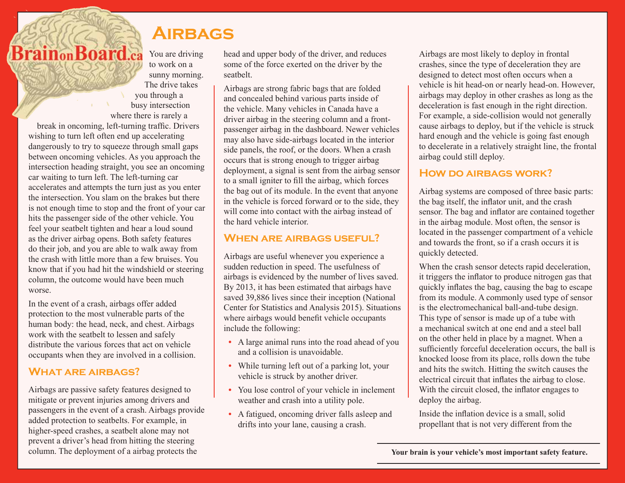# **Airbags**

You are driving to work on a sunny morning.

The drive takes you through a busy intersection where there is rarely a break in oncoming, left-turning traffic. Drivers wishing to turn left often end up accelerating dangerously to try to squeeze through small gaps between oncoming vehicles. As you approach the intersection heading straight, you see an oncoming car waiting to turn left. The left-turning car accelerates and attempts the turn just as you enter the intersection. You slam on the brakes but there is not enough time to stop and the front of your car hits the passenger side of the other vehicle. You feel your seatbelt tighten and hear a loud sound as the driver airbag opens. Both safety features do their job, and you are able to walk away from the crash with little more than a few bruises. You know that if you had hit the windshield or steering column, the outcome would have been much worse.

**BrainonBoard.ca** 

In the event of a crash, airbags offer added protection to the most vulnerable parts of the human body: the head, neck, and chest. Airbags work with the seatbelt to lessen and safely distribute the various forces that act on vehicle occupants when they are involved in a collision.

## **What are airbags?**

Airbags are passive safety features designed to mitigate or prevent injuries among drivers and passengers in the event of a crash. Airbags provide added protection to seatbelts. For example, in higher-speed crashes, a seatbelt alone may not prevent a driver's head from hitting the steering column. The deployment of a airbag protects the

head and upper body of the driver, and reduces some of the force exerted on the driver by the seatbelt.

Airbags are strong fabric bags that are folded and concealed behind various parts inside of the vehicle. Many vehicles in Canada have a driver airbag in the steering column and a frontpassenger airbag in the dashboard. Newer vehicles may also have side-airbags located in the interior side panels, the roof, or the doors. When a crash occurs that is strong enough to trigger airbag deployment, a signal is sent from the airbag sensor to a small igniter to fill the airbag, which forces the bag out of its module. In the event that anyone in the vehicle is forced forward or to the side, they will come into contact with the airbag instead of the hard vehicle interior.

# **When are airbags useful?**

Airbags are useful whenever you experience a sudden reduction in speed. The usefulness of airbags is evidenced by the number of lives saved. By 2013, it has been estimated that airbags have saved 39,886 lives since their inception (National Center for Statistics and Analysis 2015). Situations where airbags would benefit vehicle occupants include the following:

- **•** A large animal runs into the road ahead of you and a collision is unavoidable.
- While turning left out of a parking lot, your vehicle is struck by another driver.
- **•** You lose control of your vehicle in inclement weather and crash into a utility pole.
- **•** A fatigued, oncoming driver falls asleep and drifts into your lane, causing a crash.

Airbags are most likely to deploy in frontal crashes, since the type of deceleration they are designed to detect most often occurs when a vehicle is hit head-on or nearly head-on. However, airbags may deploy in other crashes as long as the deceleration is fast enough in the right direction. For example, a side-collision would not generally cause airbags to deploy, but if the vehicle is struck hard enough and the vehicle is going fast enough to decelerate in a relatively straight line, the frontal airbag could still deploy.

# **How do airbags work?**

Airbag systems are composed of three basic parts: the bag itself, the inflator unit, and the crash sensor. The bag and inflator are contained together in the airbag module. Most often, the sensor is located in the passenger compartment of a vehicle and towards the front, so if a crash occurs it is quickly detected.

When the crash sensor detects rapid deceleration, it triggers the inflator to produce nitrogen gas that quickly inflates the bag, causing the bag to escape from its module. A commonly used type of sensor is the electromechanical ball-and-tube design. This type of sensor is made up of a tube with a mechanical switch at one end and a steel ball on the other held in place by a magnet. When a sufficiently forceful deceleration occurs, the ball is knocked loose from its place, rolls down the tube and hits the switch. Hitting the switch causes the electrical circuit that inflates the airbag to close. With the circuit closed, the inflator engages to deploy the airbag.

Inside the inflation device is a small, solid propellant that is not very different from the

**Your brain is your vehicle's most important safety feature.**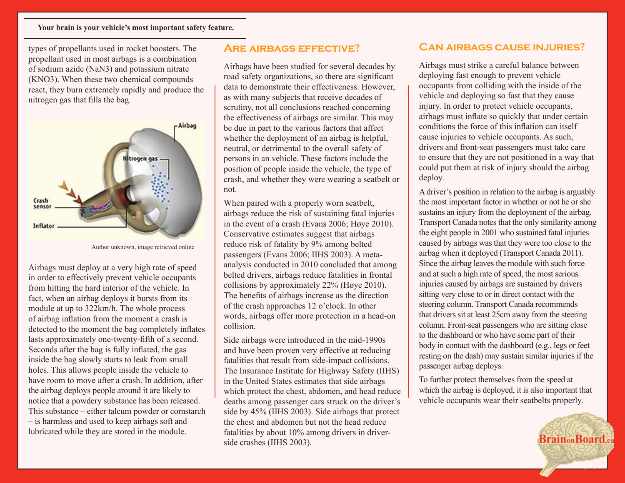types of propellants used in rocket boosters. The propellant used in most airbags is a combination of sodium azide (NaN3) and potassium nitrate (KNO3). When these two chemical compounds react, they burn extremely rapidly and produce the nitrogen gas that fills the bag.



Author unknown, image retrieved online

Airbags must deploy at a very high rate of speed in order to effectively prevent vehicle occupants from hitting the hard interior of the vehicle. In fact, when an airbag deploys it bursts from its module at up to 322km/h. The whole process of airbag inflation from the moment a crash is detected to the moment the bag completely inflates lasts approximately one-twenty-fifth of a second. Seconds after the bag is fully inflated, the gas inside the bag slowly starts to leak from small holes. This allows people inside the vehicle to have room to move after a crash. In addition, after the airbag deploys people around it are likely to notice that a powdery substance has been released. This substance – either talcum powder or cornstarch – is harmless and used to keep airbags soft and lubricated while they are stored in the module.

## **Are airbags effective?**

Airbags have been studied for several decades by road safety organizations, so there are significant data to demonstrate their effectiveness. However, as with many subjects that receive decades of scrutiny, not all conclusions reached concerning the effectiveness of airbags are similar. This may be due in part to the various factors that affect whether the deployment of an airbag is helpful, neutral, or detrimental to the overall safety of persons in an vehicle. These factors include the position of people inside the vehicle, the type of crash, and whether they were wearing a seatbelt or not.

When paired with a properly worn seatbelt, airbags reduce the risk of sustaining fatal injuries in the event of a crash (Evans 2006; Høye 2010). Conservative estimates suggest that airbags reduce risk of fatality by 9% among belted passengers (Evans 2006; IIHS 2003). A metaanalysis conducted in 2010 concluded that among belted drivers, airbags reduce fatalities in frontal collisions by approximately 22% (Høye 2010). The benefits of airbags increase as the direction of the crash approaches 12 o'clock. In other words, airbags offer more protection in a head-on collision.

Side airbags were introduced in the mid-1990s and have been proven very effective at reducing fatalities that result from side-impact collisions. The Insurance Institute for Highway Safety (IIHS) in the United States estimates that side airbags which protect the chest, abdomen, and head reduce deaths among passenger cars struck on the driver's side by 45% (IIHS 2003). Side airbags that protect the chest and abdomen but not the head reduce fatalities by about 10% among drivers in driverside crashes (IIHS 2003).

## **Can airbags cause injuries?**

Airbags must strike a careful balance between deploying fast enough to prevent vehicle occupants from colliding with the inside of the vehicle and deploying so fast that they cause injury. In order to protect vehicle occupants, airbags must inflate so quickly that under certain conditions the force of this inflation can itself cause injuries to vehicle occupants. As such, drivers and front-seat passengers must take care to ensure that they are not positioned in a way that could put them at risk of injury should the airbag deploy.

A driver's position in relation to the airbag is arguably the most important factor in whether or not he or she sustains an injury from the deployment of the airbag. Transport Canada notes that the only similarity among the eight people in 2001 who sustained fatal injuries caused by airbags was that they were too close to the airbag when it deployed (Transport Canada 2011). Since the airbag leaves the module with such force and at such a high rate of speed, the most serious injuries caused by airbags are sustained by drivers sitting very close to or in direct contact with the steering column. Transport Canada recommends that drivers sit at least 25cm away from the steering column. Front-seat passengers who are sitting close to the dashboard or who have some part of their body in contact with the dashboard (e.g., legs or feet resting on the dash) may sustain similar injuries if the passenger airbag deploys.

To further protect themselves from the speed at which the airbag is deployed, it is also important that vehicle occupants wear their seatbelts properly.

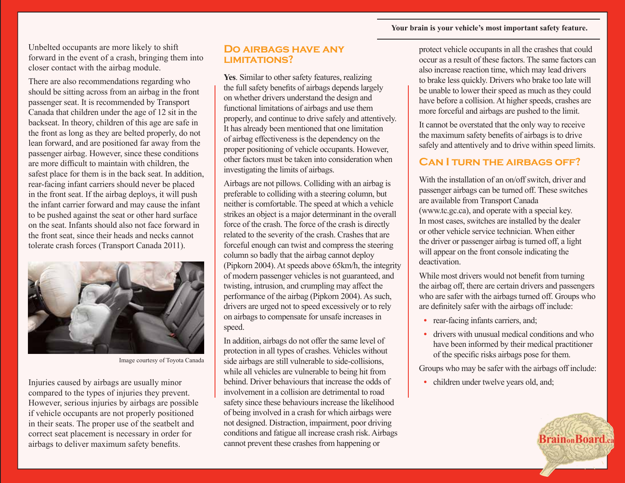#### **Your brain is your vehicle's most important safety feature.**

Unbelted occupants are more likely to shift forward in the event of a crash, bringing them into closer contact with the airbag module.

There are also recommendations regarding who should be sitting across from an airbag in the front passenger seat. It is recommended by Transport Canada that children under the age of 12 sit in the backseat. In theory, children of this age are safe in the front as long as they are belted properly, do not lean forward, and are positioned far away from the passenger airbag. However, since these conditions are more difficult to maintain with children, the safest place for them is in the back seat. In addition, rear-facing infant carriers should never be placed in the front seat. If the airbag deploys, it will push the infant carrier forward and may cause the infant to be pushed against the seat or other hard surface on the seat. Infants should also not face forward in the front seat, since their heads and necks cannot tolerate crash forces (Transport Canada 2011).



Image courtesy of Toyota Canada

Injuries caused by airbags are usually minor compared to the types of injuries they prevent. However, serious injuries by airbags are possible if vehicle occupants are not properly positioned in their seats. The proper use of the seatbelt and correct seat placement is necessary in order for airbags to deliver maximum safety benefits.

#### **Do airbags have any limitations?**

**Yes**. Similar to other safety features, realizing the full safety benefits of airbags depends largely on whether drivers understand the design and functional limitations of airbags and use them properly, and continue to drive safely and attentively. It has already been mentioned that one limitation of airbag effectiveness is the dependency on the proper positioning of vehicle occupants. However, other factors must be taken into consideration when investigating the limits of airbags.

Airbags are not pillows. Colliding with an airbag is preferable to colliding with a steering column, but neither is comfortable. The speed at which a vehicle strikes an object is a major determinant in the overall force of the crash. The force of the crash is directly related to the severity of the crash. Crashes that are forceful enough can twist and compress the steering column so badly that the airbag cannot deploy (Pipkorn 2004). At speeds above 65km/h, the integrity of modern passenger vehicles is not guaranteed, and twisting, intrusion, and crumpling may affect the performance of the airbag (Pipkorn 2004). As such, drivers are urged not to speed excessively or to rely on airbags to compensate for unsafe increases in speed.

In addition, airbags do not offer the same level of protection in all types of crashes. Vehicles without side airbags are still vulnerable to side-collisions, while all vehicles are vulnerable to being hit from behind. Driver behaviours that increase the odds of involvement in a collision are detrimental to road safety since these behaviours increase the likelihood of being involved in a crash for which airbags were not designed. Distraction, impairment, poor driving conditions and fatigue all increase crash risk. Airbags cannot prevent these crashes from happening or

protect vehicle occupants in all the crashes that could occur as a result of these factors. The same factors can also increase reaction time, which may lead drivers to brake less quickly. Drivers who brake too late will be unable to lower their speed as much as they could have before a collision. At higher speeds, crashes are more forceful and airbags are pushed to the limit.

It cannot be overstated that the only way to receive the maximum safety benefits of airbags is to drive safely and attentively and to drive within speed limits.

# **Can I turn the airbags off?**

With the installation of an on/off switch, driver and passenger airbags can be turned off. These switches are available from Transport Canada (www.tc.gc.ca), and operate with a special key. In most cases, switches are installed by the dealer or other vehicle service technician. When either the driver or passenger airbag is turned off, a light will appear on the front console indicating the deactivation.

While most drivers would not benefit from turning the airbag off, there are certain drivers and passengers who are safer with the airbags turned off. Groups who are definitely safer with the airbags off include:

- rear-facing infants carriers, and;
- drivers with unusual medical conditions and who have been informed by their medical practitioner of the specific risks airbags pose for them.

Groups who may be safer with the airbags off include:

• children under twelve years old, and;